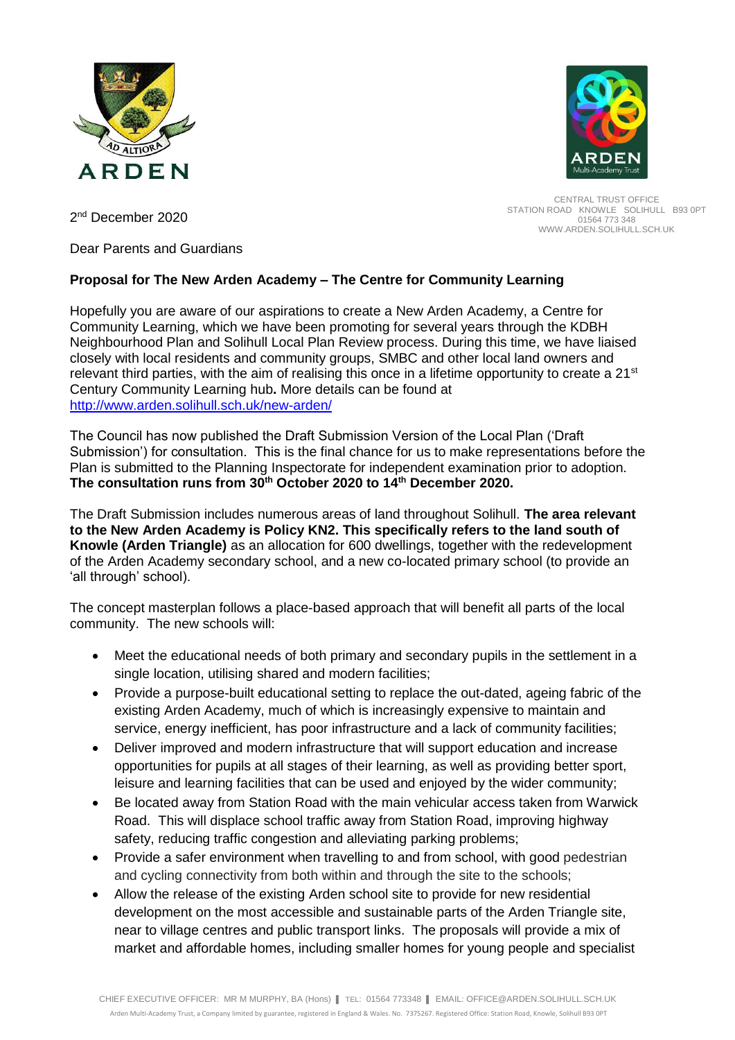



CENTRAL TRUST OFFICE STATION ROAD KNOWLE SOLIHULL B93 0PT 01564 773 348 WWW.ARDEN.SOLIHULL.SCH.UK

2<sup>nd</sup> December 2020

Dear Parents and Guardians

# **Proposal for The New Arden Academy – The Centre for Community Learning**

Hopefully you are aware of our aspirations to create a New Arden Academy, a Centre for Community Learning, which we have been promoting for several years through the KDBH Neighbourhood Plan and Solihull Local Plan Review process. During this time, we have liaised closely with local residents and community groups, SMBC and other local land owners and relevant third parties, with the aim of realising this once in a lifetime opportunity to create a 21<sup>st</sup> Century Community Learning hub**.** More details can be found at <http://www.arden.solihull.sch.uk/new-arden/>

The Council has now published the Draft Submission Version of the Local Plan ('Draft Submission') for consultation. This is the final chance for us to make representations before the Plan is submitted to the Planning Inspectorate for independent examination prior to adoption. **The consultation runs from 30th October 2020 to 14th December 2020.**

The Draft Submission includes numerous areas of land throughout Solihull. **The area relevant to the New Arden Academy is Policy KN2. This specifically refers to the land south of Knowle (Arden Triangle)** as an allocation for 600 dwellings, together with the redevelopment of the Arden Academy secondary school, and a new co-located primary school (to provide an 'all through' school).

The concept masterplan follows a place-based approach that will benefit all parts of the local community. The new schools will:

- Meet the educational needs of both primary and secondary pupils in the settlement in a single location, utilising shared and modern facilities;
- Provide a purpose-built educational setting to replace the out-dated, ageing fabric of the existing Arden Academy, much of which is increasingly expensive to maintain and service, energy inefficient, has poor infrastructure and a lack of community facilities;
- Deliver improved and modern infrastructure that will support education and increase opportunities for pupils at all stages of their learning, as well as providing better sport, leisure and learning facilities that can be used and enjoyed by the wider community;
- Be located away from Station Road with the main vehicular access taken from Warwick Road. This will displace school traffic away from Station Road, improving highway safety, reducing traffic congestion and alleviating parking problems;
- Provide a safer environment when travelling to and from school, with good pedestrian and cycling connectivity from both within and through the site to the schools;
- Allow the release of the existing Arden school site to provide for new residential development on the most accessible and sustainable parts of the Arden Triangle site, near to village centres and public transport links. The proposals will provide a mix of market and affordable homes, including smaller homes for young people and specialist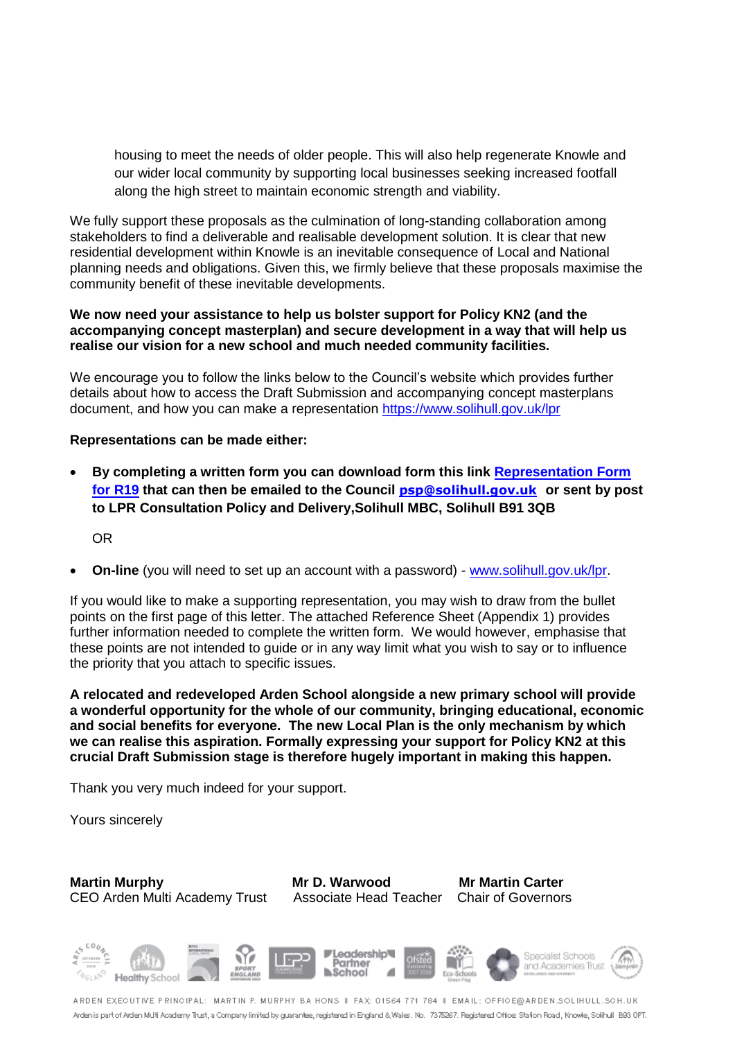housing to meet the needs of older people. This will also help regenerate Knowle and our wider local community by supporting local businesses seeking increased footfall along the high street to maintain economic strength and viability.

We fully support these proposals as the culmination of long-standing collaboration among stakeholders to find a deliverable and realisable development solution. It is clear that new residential development within Knowle is an inevitable consequence of Local and National planning needs and obligations. Given this, we firmly believe that these proposals maximise the community benefit of these inevitable developments.

## **We now need your assistance to help us bolster support for Policy KN2 (and the accompanying concept masterplan) and secure development in a way that will help us realise our vision for a new school and much needed community facilities.**

We encourage you to follow the links below to the Council's website which provides further details about how to access the Draft Submission and accompanying concept masterplans document, and how you can make a representation<https://www.solihull.gov.uk/lpr>

## **Representations can be made either:**

 **By completing a written form you can download form this link [Representation Form](https://www.solihull.gov.uk/Portals/0/Planning/LPR/Representation%20Form%20for%20R19%20Plan.rtf)  [for R19](https://www.solihull.gov.uk/Portals/0/Planning/LPR/Representation%20Form%20for%20R19%20Plan.rtf) that can then be emailed to the Council [psp@solihull.gov.uk](mailto:psp@solihull.gov.uk) or sent by post to LPR Consultation Policy and Delivery,Solihull MBC, Solihull B91 3QB**

OR

**On-line** (you will need to set up an account with a password) - [www.solihull.gov.uk/lpr.](http://www.solihull.gov.uk/lpr)

If you would like to make a supporting representation, you may wish to draw from the bullet points on the first page of this letter. The attached Reference Sheet (Appendix 1) provides further information needed to complete the written form. We would however, emphasise that these points are not intended to guide or in any way limit what you wish to say or to influence the priority that you attach to specific issues.

**A relocated and redeveloped Arden School alongside a new primary school will provide a wonderful opportunity for the whole of our community, bringing educational, economic and social benefits for everyone. The new Local Plan is the only mechanism by which we can realise this aspiration. Formally expressing your support for Policy KN2 at this crucial Draft Submission stage is therefore hugely important in making this happen.** 

Thank you very much indeed for your support.

Yours sincerely

**Martin Murphy Mr D. Warwood Mr Martin Carter** CEO Arden Multi Academy Trust Associate Head Teacher Chair of Governors



ARDEN EXEQUTIVE PRINCIPAL: MARTIN P. MURPHY BA HONS II FAX: 01564 771 784 II EMAIL: OFFICE@ARDEN.SOLIHULL.SOH.UK Arden is part of Arden Multi Academy Trust, a Company limited by guarantee, registered in England & Wales. No. 7378267. Registered Office: Stafion Road, Knowle, Solihull 1893 OPT.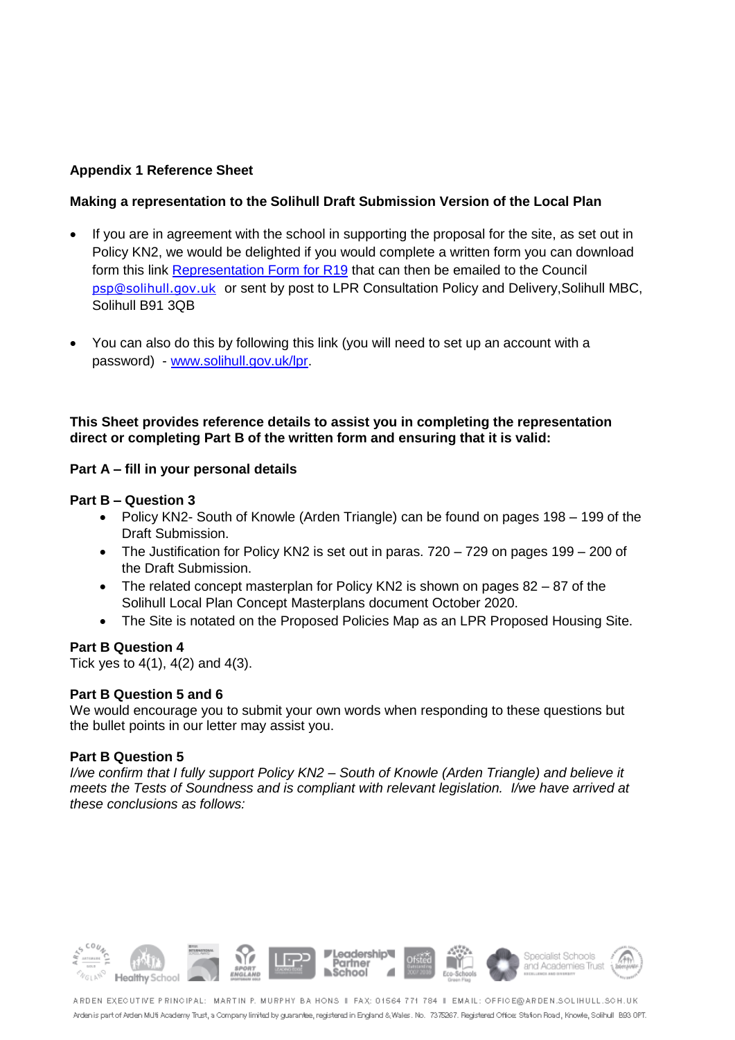# **Appendix 1 Reference Sheet**

## **Making a representation to the Solihull Draft Submission Version of the Local Plan**

- If you are in agreement with the school in supporting the proposal for the site, as set out in Policy KN2, we would be delighted if you would complete a written form you can download form this link [Representation Form for R19](https://www.solihull.gov.uk/Portals/0/Planning/LPR/Representation%20Form%20for%20R19%20Plan.rtf) that can then be emailed to the Council [psp@solihull.gov.uk](mailto:psp@solihull.gov.uk) or sent by post to LPR Consultation Policy and Delivery,Solihull MBC, Solihull B91 3QB
- You can also do this by following this link (you will need to set up an account with a password) - [www.solihull.gov.uk/lpr.](http://www.solihull.gov.uk/lpr)

## **This Sheet provides reference details to assist you in completing the representation direct or completing Part B of the written form and ensuring that it is valid:**

## **Part A – fill in your personal details**

#### **Part B – Question 3**

- Policy KN2- South of Knowle (Arden Triangle) can be found on pages 198 199 of the Draft Submission.
- The Justification for Policy KN2 is set out in paras.  $720 729$  on pages  $199 200$  of the Draft Submission.
- The related concept masterplan for Policy KN2 is shown on pages  $82 87$  of the Solihull Local Plan Concept Masterplans document October 2020.
- The Site is notated on the Proposed Policies Map as an LPR Proposed Housing Site.

# **Part B Question 4**

Tick yes to  $4(1)$ ,  $4(2)$  and  $4(3)$ .

#### **Part B Question 5 and 6**

We would encourage you to submit your own words when responding to these questions but the bullet points in our letter may assist you.

#### **Part B Question 5**

*I/we confirm that I fully support Policy KN2 – South of Knowle (Arden Triangle) and believe it meets the Tests of Soundness and is compliant with relevant legislation. I/we have arrived at these conclusions as follows:* 



ARDEN EXEQUTIVE PRINCIPAL: MARTIN P. MURPHY BA HONS II FAX: 01564 771 784 II EMAIL: OFFICE@ARDEN.SOLIHULL.SOH.UK Arden is part of Arden Multi Academy Trust, a Company limited by guarantee, registered in England & Wales. No. 7378267. Registered Office: Stafion Road, Knowle, Solihull 1893 OPT.